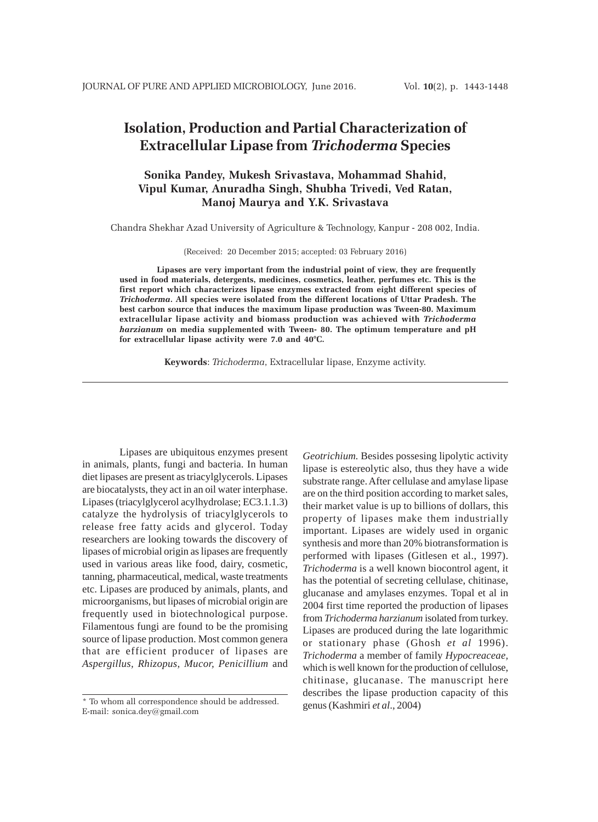# **Isolation, Production and Partial Characterization of Extracellular Lipase from** *Trichoderma* **Species**

# **Sonika Pandey, Mukesh Srivastava, Mohammad Shahid, Vipul Kumar, Anuradha Singh, Shubha Trivedi, Ved Ratan, Manoj Maurya and Y.K. Srivastava**

Chandra Shekhar Azad University of Agriculture & Technology, Kanpur - 208 002, India.

(Received: 20 December 2015; accepted: 03 February 2016)

**Lipases are very important from the industrial point of view, they are frequently used in food materials, detergents, medicines, cosmetics, leather, perfumes etc. This is the first report which characterizes lipase enzymes extracted from eight different species of** *Trichoderma***. All species were isolated from the different locations of Uttar Pradesh. The best carbon source that induces the maximum lipase production was Tween-80. Maximum extracellular lipase activity and biomass production was achieved with** *Trichoderma harzianum* **on media supplemented with Tween- 80. The optimum temperature and pH for extracellular lipase activity were 7.0 and 40°C.**

**Keywords**: *Trichoderma*, Extracellular lipase, Enzyme activity.

Lipases are ubiquitous enzymes present in animals, plants, fungi and bacteria. In human diet lipases are present as triacylglycerols. Lipases are biocatalysts, they act in an oil water interphase. Lipases (triacylglycerol acylhydrolase; EC3.1.1.3) catalyze the hydrolysis of triacylglycerols to release free fatty acids and glycerol. Today researchers are looking towards the discovery of lipases of microbial origin as lipases are frequently used in various areas like food, dairy, cosmetic, tanning, pharmaceutical, medical, waste treatments etc. Lipases are produced by animals, plants, and microorganisms, but lipases of microbial origin are frequently used in biotechnological purpose. Filamentous fungi are found to be the promising source of lipase production. Most common genera that are efficient producer of lipases are *Aspergillus, Rhizopus, Mucor, Penicillium* and

*Geotrichium.* Besides possesing lipolytic activity lipase is estereolytic also, thus they have a wide substrate range. After cellulase and amylase lipase are on the third position according to market sales, their market value is up to billions of dollars, this property of lipases make them industrially important. Lipases are widely used in organic synthesis and more than 20% biotransformation is performed with lipases (Gitlesen et al., 1997). *Trichoderma* is a well known biocontrol agent, it has the potential of secreting cellulase, chitinase, glucanase and amylases enzymes. Topal et al in 2004 first time reported the production of lipases from *Trichoderma harzianum* isolated from turkey. Lipases are produced during the late logarithmic or stationary phase (Ghosh *et al* 1996). *Trichoderma* a member of family *Hypocreaceae,* which is well known for the production of cellulose, chitinase, glucanase. The manuscript here describes the lipase production capacity of this genus (Kashmiri *et al*., 2004)

<sup>\*</sup> To whom all correspondence should be addressed. E-mail: sonica.dey@gmail.com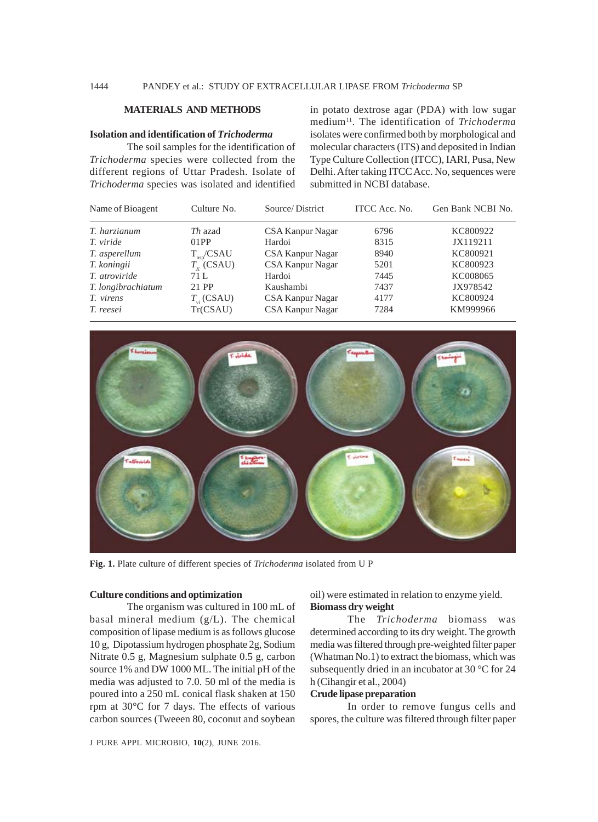# 1444 PANDEY et al.: STUDY OF EXTRACELLULAR LIPASE FROM *Trichoderma* SP

# **MATERIALS AND METHODS**

#### **Isolation and identification of** *Trichoderma*

The soil samples for the identification of *Trichoderma* species were collected from the different regions of Uttar Pradesh. Isolate of *Trichoderma* species was isolated and identified in potato dextrose agar (PDA) with low sugar medium11. The identification of *Trichoderma* isolates were confirmed both by morphological and molecular characters (ITS) and deposited in Indian Type Culture Collection (ITCC), IARI, Pusa, New Delhi. After taking ITCC Acc. No, sequences were submitted in NCBI database.

| Name of Bioagent     | Culture No.         | Source/District  | ITCC Acc. No. | Gen Bank NCBI No. |
|----------------------|---------------------|------------------|---------------|-------------------|
| T. harzianum         | <i>Th</i> azad      | CSA Kanpur Nagar | 6796          | KC800922          |
| T. viride            | 01PP                | Hardoi           | 8315          | JX119211          |
| T. asperellum        | $T_{\rm asp}$ /CSAU | CSA Kanpur Nagar | 8940          | KC800921          |
| T. koningii          | $T_{\nu}$ (CSAU)    | CSA Kanpur Nagar | 5201          | KC800923          |
| <i>T.</i> atroviride | 71 L                | Hardoi           | 7445          | KC008065          |
| T. longibrachiatum   | 21 PP               | Kaushambi        | 7437          | JX978542          |
| T. virens            | $T_{\ldots}$ (CSAU) | CSA Kanpur Nagar | 4177          | KC800924          |
| T. reesei            | Tr(CSAU)            | CSA Kanpur Nagar | 7284          | KM999966          |



**Fig. 1.** Plate culture of different species of *Trichoderma* isolated from U P

#### **Culture conditions and optimization**

The organism was cultured in 100 mL of basal mineral medium (g/L). The chemical composition of lipase medium is as follows glucose 10 g, Dipotassium hydrogen phosphate 2g, Sodium Nitrate 0.5 g, Magnesium sulphate 0.5 g, carbon source 1% and DW 1000 ML. The initial pH of the media was adjusted to 7.0. 50 ml of the media is poured into a 250 mL conical flask shaken at 150 rpm at 30°C for 7 days. The effects of various carbon sources (Tweeen 80, coconut and soybean oil) were estimated in relation to enzyme yield. **Biomass dry weight**

The *Trichoderma* biomass was determined according to its dry weight. The growth media was filtered through pre-weighted filter paper (Whatman No.1) to extract the biomass, which was subsequently dried in an incubator at 30 °C for 24 h (Cihangir et al., 2004)

### **Crude lipase preparation**

In order to remove fungus cells and spores, the culture was filtered through filter paper

J PURE APPL MICROBIO*,* **10**(2), JUNE 2016.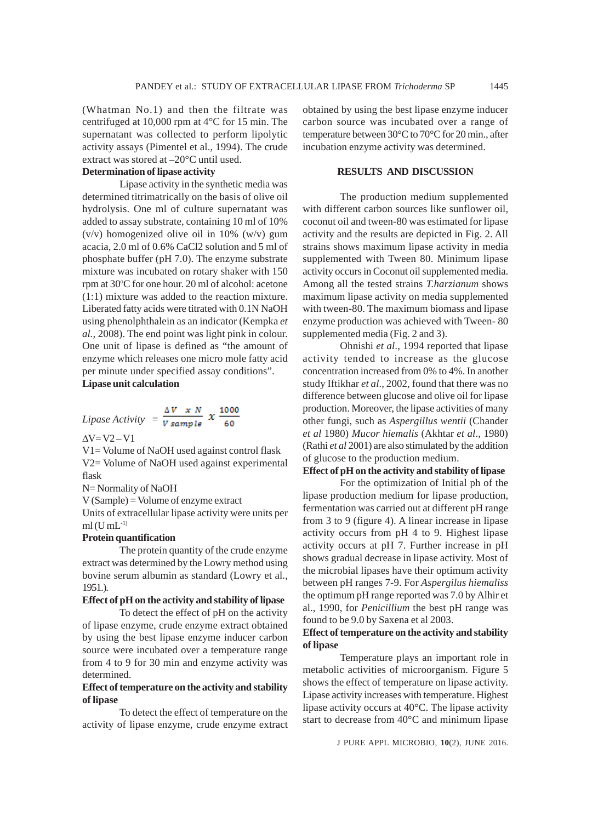(Whatman No.1) and then the filtrate was centrifuged at 10,000 rpm at 4°C for 15 min. The supernatant was collected to perform lipolytic activity assays (Pimentel et al., 1994). The crude extract was stored at –20°C until used.

# **Determination of lipase activity**

Lipase activity in the synthetic media was determined titrimatrically on the basis of olive oil hydrolysis. One ml of culture supernatant was added to assay substrate, containing 10 ml of 10% (v/v) homogenized olive oil in 10% (w/v) gum acacia, 2.0 ml of 0.6% CaCl2 solution and 5 ml of phosphate buffer (pH 7.0). The enzyme substrate mixture was incubated on rotary shaker with 150 rpm at 30°C for one hour. 20 ml of alcohol: acetone (1:1) mixture was added to the reaction mixture. Liberated fatty acids were titrated with 0.1N NaOH using phenolphthalein as an indicator (Kempka *et al.,* 2008). The end point was light pink in colour. One unit of lipase is defined as "the amount of enzyme which releases one micro mole fatty acid per minute under specified assay conditions". **Lipase unit calculation**

Lipase Activity = 
$$
\frac{\Delta V}{V \, sample} \, x \, \frac{1000}{60}
$$

 $\Delta V = V2 - V1$ 

V1= Volume of NaOH used against control flask V2= Volume of NaOH used against experimental flask

N= Normality of NaOH

V (Sample) = Volume of enzyme extract

Units of extracellular lipase activity were units per  $ml$  (U mL $^{-1}$ )

# **Protein quantification**

The protein quantity of the crude enzyme extract was determined by the Lowry method using bovine serum albumin as standard (Lowry et al., 1951.).

# **Effect of pH on the activity and stability of lipase**

To detect the effect of pH on the activity of lipase enzyme, crude enzyme extract obtained by using the best lipase enzyme inducer carbon source were incubated over a temperature range from 4 to 9 for 30 min and enzyme activity was determined.

# **Effect of temperature on the activity and stability of lipase**

To detect the effect of temperature on the activity of lipase enzyme, crude enzyme extract obtained by using the best lipase enzyme inducer carbon source was incubated over a range of temperature between 30°C to 70°C for 20 min., after incubation enzyme activity was determined.

# **RESULTS AND DISCUSSION**

The production medium supplemented with different carbon sources like sunflower oil, coconut oil and tween-80 was estimated for lipase activity and the results are depicted in Fig. 2. All strains shows maximum lipase activity in media supplemented with Tween 80. Minimum lipase activity occurs in Coconut oil supplemented media. Among all the tested strains *T.harzianum* shows maximum lipase activity on media supplemented with tween-80. The maximum biomass and lipase enzyme production was achieved with Tween- 80 supplemented media (Fig. 2 and 3).

Ohnishi *et al*., 1994 reported that lipase activity tended to increase as the glucose concentration increased from 0% to 4%. In another study Iftikhar *et al*., 2002, found that there was no difference between glucose and olive oil for lipase production. Moreover, the lipase activities of many other fungi, such as *Aspergillus wentii* (Chander *et al* 1980) *Mucor hiemalis* (Akhtar *et al*., 1980) (Rathi *et al* 2001) are also stimulated by the addition of glucose to the production medium.

### **Effect of pH on the activity and stability of lipase**

For the optimization of Initial ph of the lipase production medium for lipase production, fermentation was carried out at different pH range from 3 to 9 (figure 4). A linear increase in lipase activity occurs from pH 4 to 9. Highest lipase activity occurs at pH 7. Further increase in pH shows gradual decrease in lipase activity. Most of the microbial lipases have their optimum activity between pH ranges 7-9. For *Aspergilus hiemaliss* the optimum pH range reported was 7.0 by Alhir et al., 1990, for *Penicillium* the best pH range was found to be 9.0 by Saxena et al 2003.

# **Effect of temperature on the activity and stability of lipase**

Temperature plays an important role in metabolic activities of microorganism. Figure 5 shows the effect of temperature on lipase activity. Lipase activity increases with temperature. Highest lipase activity occurs at 40°C. The lipase activity start to decrease from 40°C and minimum lipase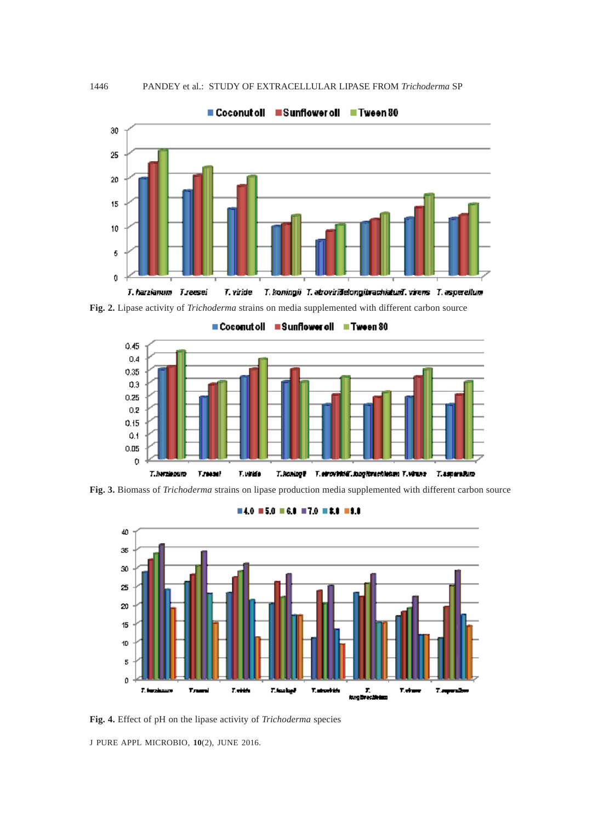

**Fig. 2.** Lipase activity of *Trichoderma* strains on media supplemented with different carbon source



**Fig. 3.** Biomass of *Trichoderma* strains on lipase production media supplemented with different carbon source



#### $= 4.0$  = 5.0 = 6.1 = 7.0 = 2.1 = 9.8

**Fig. 4.** Effect of pH on the lipase activity of *Trichoderma* species

J PURE APPL MICROBIO*,* **10**(2), JUNE 2016.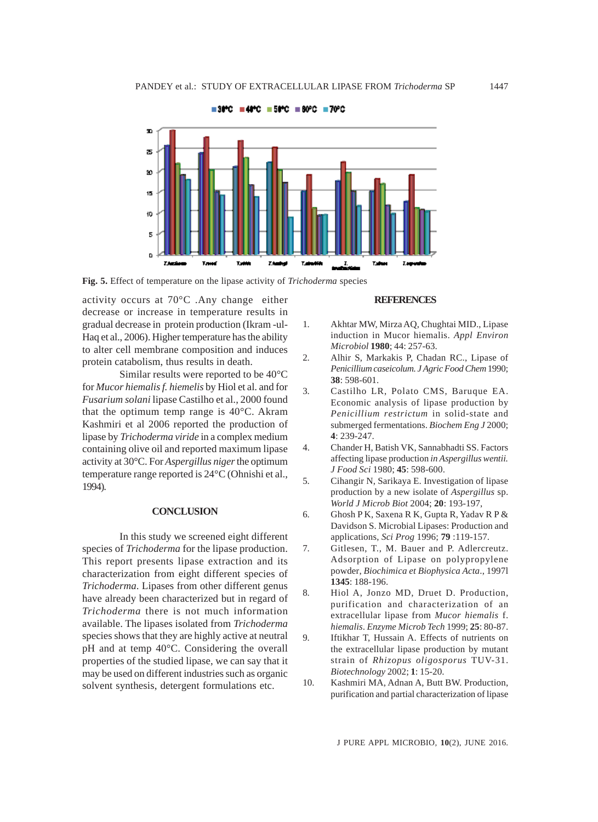

**Fig. 5.** Effect of temperature on the lipase activity of *Trichoderma* species

activity occurs at 70°C .Any change either decrease or increase in temperature results in gradual decrease in protein production (Ikram -ul-Haq et al., 2006). Higher temperature has the ability to alter cell membrane composition and induces protein catabolism, thus results in death.

Similar results were reported to be 40°C for *Mucor hiemalis f. hiemelis* by Hiol et al. and for *Fusarium solani* lipase Castilho et al., 2000 found that the optimum temp range is 40°C. Akram Kashmiri et al 2006 reported the production of lipase by *Trichoderma viride* in a complex medium containing olive oil and reported maximum lipase activity at 30°C. For *Aspergillus niger* the optimum temperature range reported is 24°C (Ohnishi et al., 1994).

### **CONCLUSION**

In this study we screened eight different species of *Trichoderma* for the lipase production. This report presents lipase extraction and its characterization from eight different species of *Trichoderma*. Lipases from other different genus have already been characterized but in regard of *Trichoderma* there is not much information available. The lipases isolated from *Trichoderma* species shows that they are highly active at neutral pH and at temp 40°C. Considering the overall properties of the studied lipase, we can say that it may be used on different industries such as organic solvent synthesis, detergent formulations etc.

#### **REFERENCES**

- 1. Akhtar MW, Mirza AQ, Chughtai MID., Lipase induction in Mucor hiemalis. *Appl Environ Microbiol* **1980**; 44: 257-63.
- 2. Alhir S, Markakis P, Chadan RC., Lipase of *Penicillium caseicolum. J Agric Food Chem* 1990; **38**: 598-601.
- 3. Castilho LR, Polato CMS, Baruque EA. Economic analysis of lipase production by *Penicillium restrictum* in solid-state and submerged fermentations. *Biochem Eng J* 2000; **4**: 239-247.
- 4. Chander H, Batish VK, Sannabhadti SS. Factors affecting lipase production *in Aspergillus wentii. J Food Sci* 1980; **45**: 598-600.
- 5. Cihangir N, Sarikaya E. Investigation of lipase production by a new isolate of *Aspergillus* sp. *World J Microb Biot* 2004; **20**: 193-197,
- 6. Ghosh P K, Saxena R K, Gupta R, Yadav R P & Davidson S. Microbial Lipases: Production and applications, *Sci Prog* 1996; **79** :119-157.
- 7. Gitlesen, T., M. Bauer and P. Adlercreutz. Adsorption of Lipase on polypropylene powder, *Biochimica et Biophysica Acta*., 1997l **1345**: 188-196.
- 8. Hiol A, Jonzo MD, Druet D. Production, purification and characterization of an extracellular lipase from *Mucor hiemalis* f. *hiemalis*. *Enzyme Microb Tech* 1999; **25**: 80-87.
- 9. Iftikhar T, Hussain A. Effects of nutrients on the extracellular lipase production by mutant strain of *Rhizopus oligosporus* TUV-31. *Biotechnology* 2002; **1**: 15-20.
- 10. Kashmiri MA, Adnan A, Butt BW. Production, purification and partial characterization of lipase

J PURE APPL MICROBIO*,* **10**(2), JUNE 2016.